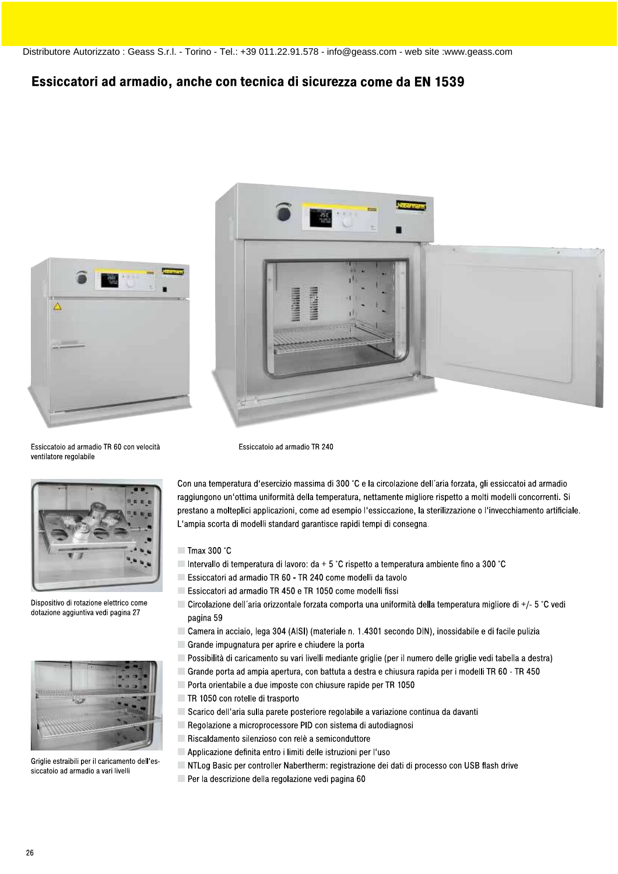## Essiccatori ad armadio, anche con tecnica di sicurezza come da EN 1539





Essiccatoio ad armadio TR 60 con velocità ventilatore regolabile



Dispositivo di rotazione elettrico come dotazione aggiuntiva vedi pagina 27



Griglie estraibili per il caricamento dell'essiccatoio ad armadio a vari livelli

Con una temperatura d'esercizio massima di 300 °C e la circolazione dell'aria forzata, gli essiccatoi ad armadio raggiungono un'ottima uniformità della temperatura, nettamente migliore rispetto a molti modelli concorrenti. Si prestano a molteplici applicazioni, come ad esempio l'essiccazione, la sterilizzazione o l'invecchiamento artificiale. L'ampia scorta di modelli standard garantisce rapidi tempi di consegna.

- $\blacksquare$  Tmax 300 °C
- Intervallo di temperatura di lavoro:  $da + 5$  °C rispetto a temperatura ambiente fino a 300 °C
- Essiccatori ad armadio TR 60 TR 240 come modelli da tavolo

Essiccatoio ad armadio TR 240

- Essiccatori ad armadio TR 450 e TR 1050 come modelli fissi
- Circolazione dell'aria orizzontale forzata comporta una uniformità della temperatura migliore di +/- 5 °C vedi pagina 59
- Camera in acciaio, lega 304 (AISI) (materiale n. 1.4301 secondo DIN), inossidabile e di facile pulizia
- Grande impugnatura per aprire e chiudere la porta
- Possibilità di caricamento su vari livelli mediante griglie (per il numero delle griglie vedi tabella a destra)
- Grande porta ad ampia apertura, con battuta a destra e chiusura rapida per i modelli TR 60 TR 450
- Porta orientabile a due imposte con chiusure rapide per TR 1050
- TR 1050 con rotelle di trasporto
- Scarico dell'aria sulla parete posteriore regolabile a variazione continua da davanti
- Regolazione a microprocessore PID con sistema di autodiagnosi
- Riscaldamento silenzioso con relè a semiconduttore
- Applicazione definita entro i limiti delle istruzioni per l'uso
- NTLog Basic per controller Nabertherm: registrazione dei dati di processo con USB flash drive
- Per la descrizione della regolazione vedi pagina 60